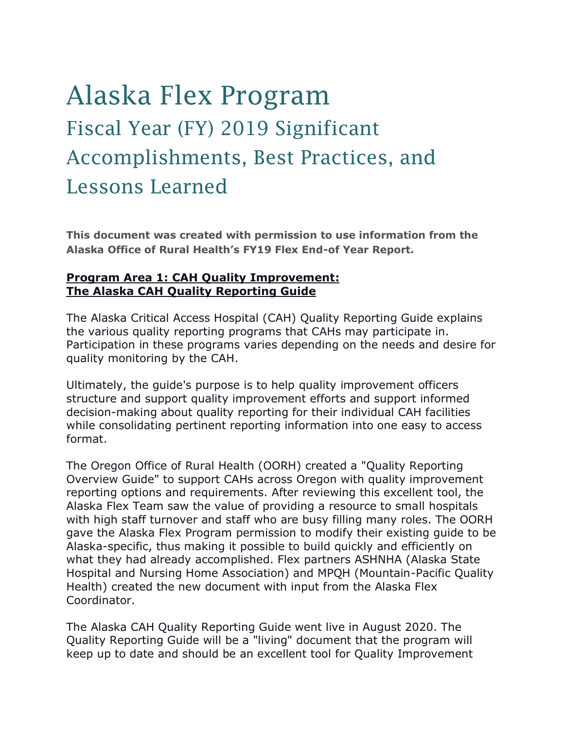# Alaska Flex Program Fiscal Year (FY) 2019 Significant Accomplishments, Best Practices, and Lessons Learned

**This document was created with permission to use information from the Alaska Office of Rural Health's FY19 Flex End-of Year Report.**

## **Program Area 1: CAH Quality Improvement: The Alaska CAH Quality Reporting Guide**

The Alaska Critical Access Hospital (CAH) Quality Reporting Guide explains the various quality reporting programs that CAHs may participate in. Participation in these programs varies depending on the needs and desire for quality monitoring by the CAH.

Ultimately, the guide's purpose is to help quality improvement officers structure and support quality improvement efforts and support informed decision-making about quality reporting for their individual CAH facilities while consolidating pertinent reporting information into one easy to access format.

The Oregon Office of Rural Health (OORH) created a "Quality Reporting Overview Guide" to support CAHs across Oregon with quality improvement reporting options and requirements. After reviewing this excellent tool, the Alaska Flex Team saw the value of providing a resource to small hospitals with high staff turnover and staff who are busy filling many roles. The OORH gave the Alaska Flex Program permission to modify their existing guide to be Alaska-specific, thus making it possible to build quickly and efficiently on what they had already accomplished. Flex partners ASHNHA (Alaska State Hospital and Nursing Home Association) and MPQH (Mountain-Pacific Quality Health) created the new document with input from the Alaska Flex Coordinator.

The Alaska CAH Quality Reporting Guide went live in August 2020. The Quality Reporting Guide will be a "living" document that the program will keep up to date and should be an excellent tool for Quality Improvement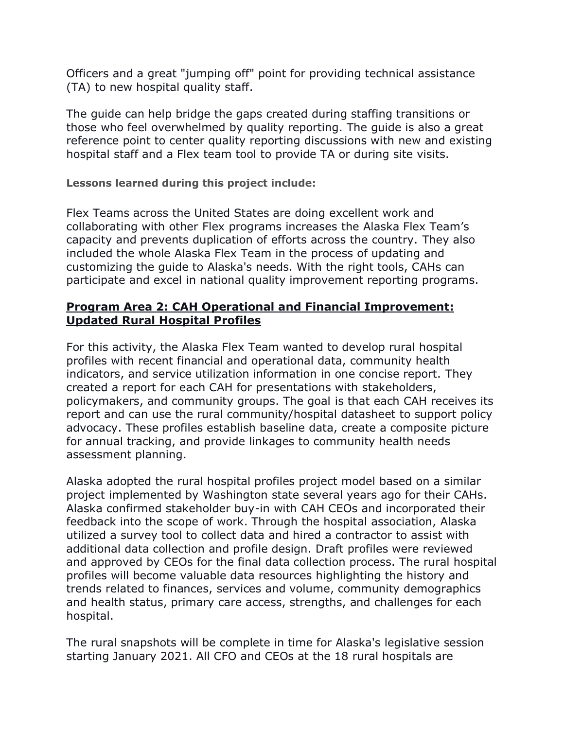Officers and a great "jumping off" point for providing technical assistance (TA) to new hospital quality staff.

The guide can help bridge the gaps created during staffing transitions or those who feel overwhelmed by quality reporting. The guide is also a great reference point to center quality reporting discussions with new and existing hospital staff and a Flex team tool to provide TA or during site visits.

## **Lessons learned during this project include:**

Flex Teams across the United States are doing excellent work and collaborating with other Flex programs increases the Alaska Flex Team's capacity and prevents duplication of efforts across the country. They also included the whole Alaska Flex Team in the process of updating and customizing the guide to Alaska's needs. With the right tools, CAHs can participate and excel in national quality improvement reporting programs.

## **Program Area 2: CAH Operational and Financial Improvement: Updated Rural Hospital Profiles**

For this activity, the Alaska Flex Team wanted to develop rural hospital profiles with recent financial and operational data, community health indicators, and service utilization information in one concise report. They created a report for each CAH for presentations with stakeholders, policymakers, and community groups. The goal is that each CAH receives its report and can use the rural community/hospital datasheet to support policy advocacy. These profiles establish baseline data, create a composite picture for annual tracking, and provide linkages to community health needs assessment planning.

Alaska adopted the rural hospital profiles project model based on a similar project implemented by Washington state several years ago for their CAHs. Alaska confirmed stakeholder buy-in with CAH CEOs and incorporated their feedback into the scope of work. Through the hospital association, Alaska utilized a survey tool to collect data and hired a contractor to assist with additional data collection and profile design. Draft profiles were reviewed and approved by CEOs for the final data collection process. The rural hospital profiles will become valuable data resources highlighting the history and trends related to finances, services and volume, community demographics and health status, primary care access, strengths, and challenges for each hospital.

The rural snapshots will be complete in time for Alaska's legislative session starting January 2021. All CFO and CEOs at the 18 rural hospitals are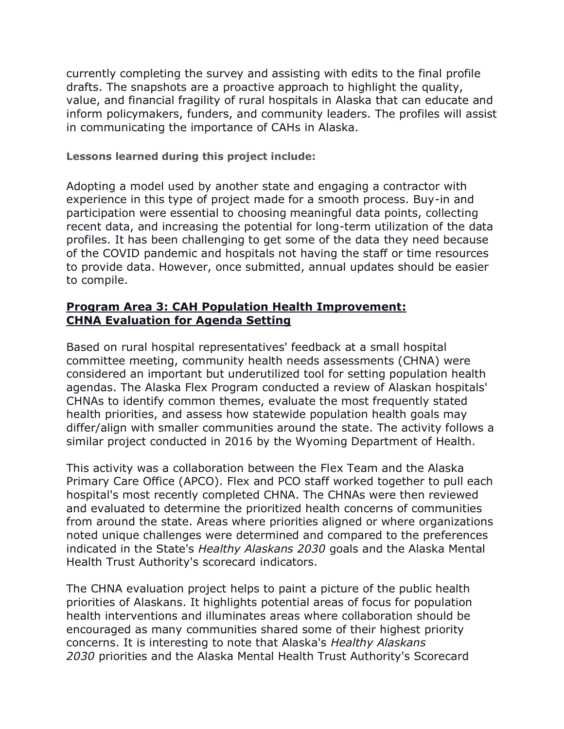currently completing the survey and assisting with edits to the final profile drafts. The snapshots are a proactive approach to highlight the quality, value, and financial fragility of rural hospitals in Alaska that can educate and inform policymakers, funders, and community leaders. The profiles will assist in communicating the importance of CAHs in Alaska.

#### **Lessons learned during this project include:**

Adopting a model used by another state and engaging a contractor with experience in this type of project made for a smooth process. Buy-in and participation were essential to choosing meaningful data points, collecting recent data, and increasing the potential for long-term utilization of the data profiles. It has been challenging to get some of the data they need because of the COVID pandemic and hospitals not having the staff or time resources to provide data. However, once submitted, annual updates should be easier to compile.

# **Program Area 3: CAH Population Health Improvement: CHNA Evaluation for Agenda Setting**

Based on rural hospital representatives' feedback at a small hospital committee meeting, community health needs assessments (CHNA) were considered an important but underutilized tool for setting population health agendas. The Alaska Flex Program conducted a review of Alaskan hospitals' CHNAs to identify common themes, evaluate the most frequently stated health priorities, and assess how statewide population health goals may differ/align with smaller communities around the state. The activity follows a similar project conducted in 2016 by the Wyoming Department of Health.

This activity was a collaboration between the Flex Team and the Alaska Primary Care Office (APCO). Flex and PCO staff worked together to pull each hospital's most recently completed CHNA. The CHNAs were then reviewed and evaluated to determine the prioritized health concerns of communities from around the state. Areas where priorities aligned or where organizations noted unique challenges were determined and compared to the preferences indicated in the State's *Healthy Alaskans 2030* goals and the Alaska Mental Health Trust Authority's scorecard indicators.

The CHNA evaluation project helps to paint a picture of the public health priorities of Alaskans. It highlights potential areas of focus for population health interventions and illuminates areas where collaboration should be encouraged as many communities shared some of their highest priority concerns. It is interesting to note that Alaska's *Healthy Alaskans 2030* priorities and the Alaska Mental Health Trust Authority's Scorecard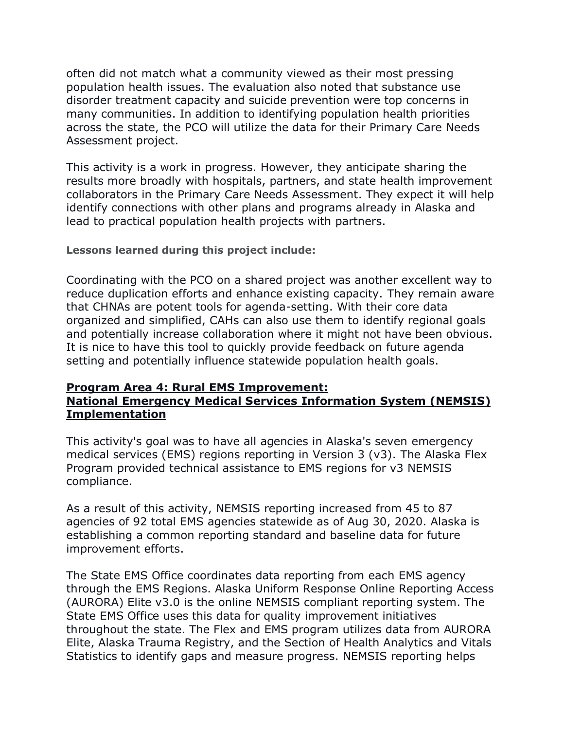often did not match what a community viewed as their most pressing population health issues. The evaluation also noted that substance use disorder treatment capacity and suicide prevention were top concerns in many communities. In addition to identifying population health priorities across the state, the PCO will utilize the data for their Primary Care Needs Assessment project.

This activity is a work in progress. However, they anticipate sharing the results more broadly with hospitals, partners, and state health improvement collaborators in the Primary Care Needs Assessment. They expect it will help identify connections with other plans and programs already in Alaska and lead to practical population health projects with partners.

### **Lessons learned during this project include:**

Coordinating with the PCO on a shared project was another excellent way to reduce duplication efforts and enhance existing capacity. They remain aware that CHNAs are potent tools for agenda-setting. With their core data organized and simplified, CAHs can also use them to identify regional goals and potentially increase collaboration where it might not have been obvious. It is nice to have this tool to quickly provide feedback on future agenda setting and potentially influence statewide population health goals.

#### **Program Area 4: Rural EMS Improvement: National Emergency Medical Services Information System (NEMSIS) Implementation**

This activity's goal was to have all agencies in Alaska's seven emergency medical services (EMS) regions reporting in Version 3 (v3). The Alaska Flex Program provided technical assistance to EMS regions for v3 NEMSIS compliance.

As a result of this activity, NEMSIS reporting increased from 45 to 87 agencies of 92 total EMS agencies statewide as of Aug 30, 2020. Alaska is establishing a common reporting standard and baseline data for future improvement efforts.

The State EMS Office coordinates data reporting from each EMS agency through the EMS Regions. Alaska Uniform Response Online Reporting Access (AURORA) Elite v3.0 is the online NEMSIS compliant reporting system. The State EMS Office uses this data for quality improvement initiatives throughout the state. The Flex and EMS program utilizes data from AURORA Elite, Alaska Trauma Registry, and the Section of Health Analytics and Vitals Statistics to identify gaps and measure progress. NEMSIS reporting helps